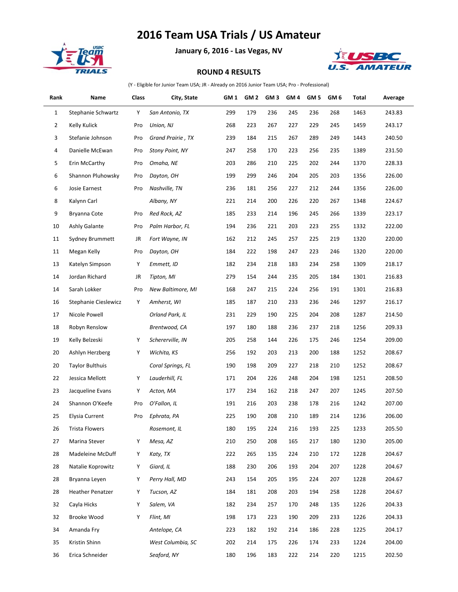## **2016 Team USA Trials / US Amateur**



**January 6, 2016 - Las Vegas, NV**



## **ROUND 4 RESULTS**

(Y - Eligible for Junior Team USA; JR - Already on 2016 Junior Team USA; Pro - Professional)

| Rank         | Name                    | Class | City, State            | GM <sub>1</sub> | GM <sub>2</sub> | GM <sub>3</sub> | GM <sub>4</sub> | GM <sub>5</sub> | GM 6 | Total | Average |
|--------------|-------------------------|-------|------------------------|-----------------|-----------------|-----------------|-----------------|-----------------|------|-------|---------|
| $\mathbf{1}$ | Stephanie Schwartz      | Y     | San Antonio, TX        | 299             | 179             | 236             | 245             | 236             | 268  | 1463  | 243.83  |
| 2            | Kelly Kulick            | Pro   | Union, NJ              | 268             | 223             | 267             | 227             | 229             | 245  | 1459  | 243.17  |
| 3            | Stefanie Johnson        | Pro   | Grand Prairie, TX      | 239             | 184             | 215             | 267             | 289             | 249  | 1443  | 240.50  |
| 4            | Danielle McEwan         | Pro   | <b>Stony Point, NY</b> | 247             | 258             | 170             | 223             | 256             | 235  | 1389  | 231.50  |
| 5            | Erin McCarthy           | Pro   | Omaha, NE              | 203             | 286             | 210             | 225             | 202             | 244  | 1370  | 228.33  |
| 6            | Shannon Pluhowsky       | Pro   | Dayton, OH             | 199             | 299             | 246             | 204             | 205             | 203  | 1356  | 226.00  |
| 6            | Josie Earnest           | Pro   | Nashville, TN          | 236             | 181             | 256             | 227             | 212             | 244  | 1356  | 226.00  |
| 8            | Kalynn Carl             |       | Albany, NY             | 221             | 214             | 200             | 226             | 220             | 267  | 1348  | 224.67  |
| 9            | Bryanna Cote            | Pro   | Red Rock, AZ           | 185             | 233             | 214             | 196             | 245             | 266  | 1339  | 223.17  |
| 10           | <b>Ashly Galante</b>    | Pro   | Palm Harbor, FL        | 194             | 236             | 221             | 203             | 223             | 255  | 1332  | 222.00  |
| 11           | <b>Sydney Brummett</b>  | JR    | Fort Wayne, IN         | 162             | 212             | 245             | 257             | 225             | 219  | 1320  | 220.00  |
| 11           | Megan Kelly             | Pro   | Dayton, OH             | 184             | 222             | 198             | 247             | 223             | 246  | 1320  | 220.00  |
| 13           | Katelyn Simpson         | Y     | Emmett, ID             | 182             | 234             | 218             | 183             | 234             | 258  | 1309  | 218.17  |
| 14           | Jordan Richard          | JR    | Tipton, MI             | 279             | 154             | 244             | 235             | 205             | 184  | 1301  | 216.83  |
| 14           | Sarah Lokker            | Pro   | New Baltimore, MI      | 168             | 247             | 215             | 224             | 256             | 191  | 1301  | 216.83  |
| 16           | Stephanie Cieslewicz    | Y     | Amherst, WI            | 185             | 187             | 210             | 233             | 236             | 246  | 1297  | 216.17  |
| 17           | Nicole Powell           |       | Orland Park, IL        | 231             | 229             | 190             | 225             | 204             | 208  | 1287  | 214.50  |
| 18           | Robyn Renslow           |       | Brentwood, CA          | 197             | 180             | 188             | 236             | 237             | 218  | 1256  | 209.33  |
| 19           | Kelly Belzeski          | Y     | Schererville, IN       | 205             | 258             | 144             | 226             | 175             | 246  | 1254  | 209.00  |
| 20           | Ashlyn Herzberg         | Y     | Wichita, KS            | 256             | 192             | 203             | 213             | 200             | 188  | 1252  | 208.67  |
| 20           | <b>Taylor Bulthuis</b>  |       | Coral Springs, FL      | 190             | 198             | 209             | 227             | 218             | 210  | 1252  | 208.67  |
| 22           | Jessica Mellott         | Y     | Lauderhill, FL         | 171             | 204             | 226             | 248             | 204             | 198  | 1251  | 208.50  |
| 23           | Jacqueline Evans        | Y     | Acton, MA              | 177             | 234             | 162             | 218             | 247             | 207  | 1245  | 207.50  |
| 24           | Shannon O'Keefe         | Pro   | O'Fallon, IL           | 191             | 216             | 203             | 238             | 178             | 216  | 1242  | 207.00  |
| 25           | Elysia Current          | Pro   | Ephrata, PA            | 225             | 190             | 208             | 210             | 189             | 214  | 1236  | 206.00  |
| 26           | <b>Trista Flowers</b>   |       | Rosemont, IL           | 180             | 195             | 224             | 216             | 193             | 225  | 1233  | 205.50  |
| 27           | Marina Stever           | Y     | Mesa, AZ               | 210             | 250             | 208             | 165             | 217             | 180  | 1230  | 205.00  |
| 28           | Madeleine McDuff        | Y     | Katy, TX               | 222             | 265             | 135             | 224             | 210             | 172  | 1228  | 204.67  |
| 28           | Natalie Koprowitz       | Y     | Giard, IL              | 188             | 230             | 206             | 193             | 204             | 207  | 1228  | 204.67  |
| 28           | Bryanna Leyen           | Y     | Perry Hall, MD         | 243             | 154             | 205             | 195             | 224             | 207  | 1228  | 204.67  |
| 28           | <b>Heather Penatzer</b> | Y     | Tucson, AZ             | 184             | 181             | 208             | 203             | 194             | 258  | 1228  | 204.67  |
| 32           | Cayla Hicks             | Y     | Salem, VA              | 182             | 234             | 257             | 170             | 248             | 135  | 1226  | 204.33  |
| 32           | Brooke Wood             | Y     | Flint, MI              | 198             | 173             | 223             | 190             | 209             | 233  | 1226  | 204.33  |
| 34           | Amanda Fry              |       | Antelope, CA           | 223             | 182             | 192             | 214             | 186             | 228  | 1225  | 204.17  |
| 35           | Kristin Shinn           |       | West Columbia, SC      | 202             | 214             | 175             | 226             | 174             | 233  | 1224  | 204.00  |
| 36           | Erica Schneider         |       | Seaford, NY            | 180             | 196             | 183             | 222             | 214             | 220  | 1215  | 202.50  |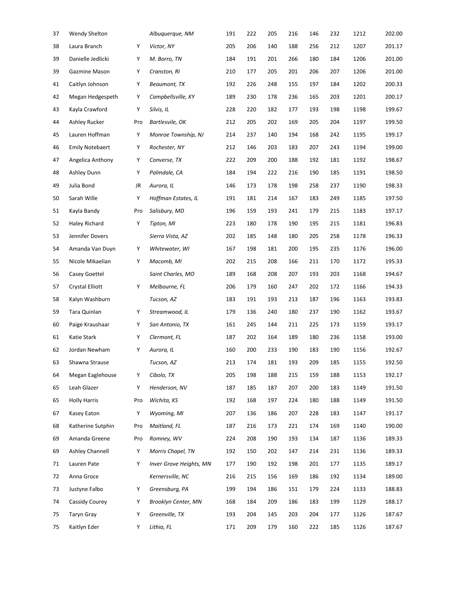| 37 | <b>Wendy Shelton</b>   |     | Albuquerque, NM            | 191 | 222 | 205 | 216 | 146 | 232 | 1212 | 202.00 |
|----|------------------------|-----|----------------------------|-----|-----|-----|-----|-----|-----|------|--------|
| 38 | Laura Branch           | Υ   | Victor, NY                 | 205 | 206 | 140 | 188 | 256 | 212 | 1207 | 201.17 |
| 39 | Danielle Jedlicki      | Υ   | M. Borro, TN               | 184 | 191 | 201 | 266 | 180 | 184 | 1206 | 201.00 |
| 39 | Gazmine Mason          | Υ   | Cranston, RI               | 210 | 177 | 205 | 201 | 206 | 207 | 1206 | 201.00 |
| 41 | Caitlyn Johnson        | Υ   | Beaumont, TX               | 192 | 226 | 248 | 155 | 197 | 184 | 1202 | 200.33 |
| 42 | Megan Hedgespeth       | Υ   | Campbellsville, KY         | 189 | 230 | 178 | 236 | 165 | 203 | 1201 | 200.17 |
| 43 | Kayla Crawford         | Υ   | Silvis, IL                 | 228 | 220 | 182 | 177 | 193 | 198 | 1198 | 199.67 |
| 44 | Ashley Rucker          | Pro | Bartlesvile, OK            | 212 | 205 | 202 | 169 | 205 | 204 | 1197 | 199.50 |
| 45 | Lauren Hoffman         | Υ   | Monroe Township, NJ        | 214 | 237 | 140 | 194 | 168 | 242 | 1195 | 199.17 |
| 46 | <b>Emily Notebaert</b> | Υ   | Rochester, NY              | 212 | 146 | 203 | 183 | 207 | 243 | 1194 | 199.00 |
| 47 | Angelica Anthony       | Υ   | Converse, TX               | 222 | 209 | 200 | 188 | 192 | 181 | 1192 | 198.67 |
| 48 | Ashley Dunn            | Υ   | Palmdale, CA               | 184 | 194 | 222 | 216 | 190 | 185 | 1191 | 198.50 |
| 49 | Julia Bond             | JR  | Aurora, IL                 | 146 | 173 | 178 | 198 | 258 | 237 | 1190 | 198.33 |
| 50 | Sarah Wille            | Υ   | Hoffman Estates, IL        | 191 | 181 | 214 | 167 | 183 | 249 | 1185 | 197.50 |
| 51 | Kayla Bandy            | Pro | Salisbury, MD              | 196 | 159 | 193 | 241 | 179 | 215 | 1183 | 197.17 |
| 52 | Haley Richard          | Υ   | Tipton, MI                 | 223 | 180 | 178 | 190 | 195 | 215 | 1181 | 196.83 |
| 53 | Jennifer Dovers        |     | Sierra Vista, AZ           | 202 | 185 | 148 | 180 | 205 | 258 | 1178 | 196.33 |
| 54 | Amanda Van Duyn        | Υ   | Whitewater, WI             | 167 | 198 | 181 | 200 | 195 | 235 | 1176 | 196.00 |
| 55 | Nicole Mikaelian       | Υ   | Macomb, MI                 | 202 | 215 | 208 | 166 | 211 | 170 | 1172 | 195.33 |
| 56 | Casey Goettel          |     | Saint Charles, MO          | 189 | 168 | 208 | 207 | 193 | 203 | 1168 | 194.67 |
| 57 | <b>Crystal Elliott</b> | Υ   | Melbourne, FL              | 206 | 179 | 160 | 247 | 202 | 172 | 1166 | 194.33 |
| 58 | Kalyn Washburn         |     | Tucson, AZ                 | 183 | 191 | 193 | 213 | 187 | 196 | 1163 | 193.83 |
| 59 | Tara Quinlan           | Υ   | Streamwood, IL             | 179 | 136 | 240 | 180 | 237 | 190 | 1162 | 193.67 |
| 60 | Paige Kraushaar        | Υ   | San Antonio, TX            | 161 | 245 | 144 | 211 | 225 | 173 | 1159 | 193.17 |
| 61 | Katie Stark            | Υ   | Clermont, FL               | 187 | 202 | 164 | 189 | 180 | 236 | 1158 | 193.00 |
| 62 | Jordan Newham          | Υ   | Aurora, IL                 | 160 | 200 | 233 | 190 | 183 | 190 | 1156 | 192.67 |
| 63 | Shawna Strause         |     | Tucson, AZ                 | 213 | 174 | 181 | 193 | 209 | 185 | 1155 | 192.50 |
| 64 | Megan Eaglehouse       | Υ   | Cibolo, TX                 | 205 | 198 | 188 | 215 | 159 | 188 | 1153 | 192.17 |
| 65 | Leah Glazer            | Υ   | Henderson, NV              | 187 | 185 | 187 | 207 | 200 | 183 | 1149 | 191.50 |
| 65 | <b>Holly Harris</b>    | Pro | Wichita, KS                | 192 | 168 | 197 | 224 | 180 | 188 | 1149 | 191.50 |
| 67 | Kasey Eaton            | Υ   | Wyoming, MI                | 207 | 136 | 186 | 207 | 228 | 183 | 1147 | 191.17 |
| 68 | Katherine Sutphin      | Pro | Maitland, FL               | 187 | 216 | 173 | 221 | 174 | 169 | 1140 | 190.00 |
| 69 | Amanda Greene          | Pro | Romney, WV                 | 224 | 208 | 190 | 193 | 134 | 187 | 1136 | 189.33 |
| 69 | Ashley Channell        | Υ   | Morris Chapel, TN          | 192 | 150 | 202 | 147 | 214 | 231 | 1136 | 189.33 |
| 71 | Lauren Pate            | Υ   | Inver Grove Heights, MN    | 177 | 190 | 192 | 198 | 201 | 177 | 1135 | 189.17 |
| 72 | Anna Groce             |     | Kernersville, NC           | 216 | 215 | 156 | 169 | 186 | 192 | 1134 | 189.00 |
| 73 | Justyne Falbo          | Υ   | Greensburg, PA             | 199 | 194 | 186 | 151 | 179 | 224 | 1133 | 188.83 |
| 74 | Cassidy Courey         | Υ   | <b>Brooklyn Center, MN</b> | 168 | 184 | 209 | 186 | 183 | 199 | 1129 | 188.17 |
| 75 | <b>Taryn Gray</b>      | Υ   | Greenville, TX             | 193 | 204 | 145 | 203 | 204 | 177 | 1126 | 187.67 |
| 75 | Kaitlyn Eder           | Υ   | Lithia, FL                 | 171 | 209 | 179 | 160 | 222 | 185 | 1126 | 187.67 |